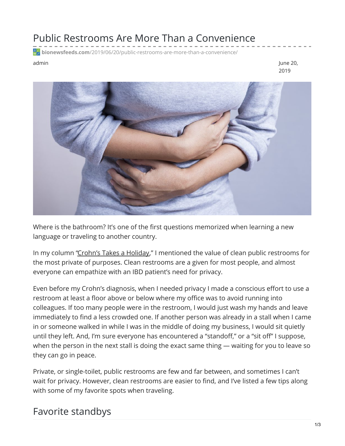## Public Restrooms Are More Than a Convenience

**bionewsfeeds.com**[/2019/06/20/public-restrooms-are-more-than-a-convenience/](https://bionewsfeeds.com/2019/06/20/public-restrooms-are-more-than-a-convenience/)

admin June 20, 2019



Where is the bathroom? It's one of the first questions memorized when learning a new language or traveling to another country.

In my column ["Crohn's](https://ibdnewstoday.com/2019/05/23/crohns-vacation-planning-triggers-diet/) Takes a Holiday," I mentioned the value of clean public restrooms for the most private of purposes. Clean restrooms are a given for most people, and almost everyone can empathize with an IBD patient's need for privacy.

Even before my Crohn's diagnosis, when I needed privacy I made a conscious effort to use a restroom at least a floor above or below where my office was to avoid running into colleagues. If too many people were in the restroom, I would just wash my hands and leave immediately to find a less crowded one. If another person was already in a stall when I came in or someone walked in while I was in the middle of doing my business, I would sit quietly until they left. And, I'm sure everyone has encountered a "standoff," or a "sit off" I suppose, when the person in the next stall is doing the exact same thing — waiting for you to leave so they can go in peace.

Private, or single-toilet, public restrooms are few and far between, and sometimes I can't wait for privacy. However, clean restrooms are easier to find, and I've listed a few tips along with some of my favorite spots when traveling.

## Favorite standbys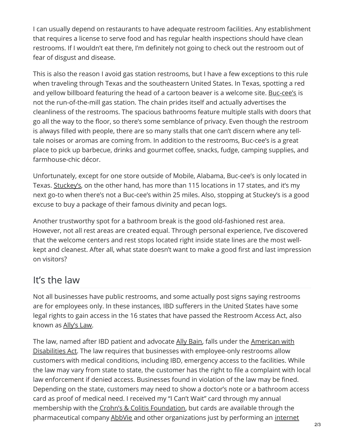I can usually depend on restaurants to have adequate restroom facilities. Any establishment that requires a license to serve food and has regular health inspections should have clean restrooms. If I wouldn't eat there, I'm definitely not going to check out the restroom out of fear of disgust and disease.

This is also the reason I avoid gas station restrooms, but I have a few exceptions to this rule when traveling through Texas and the southeastern United States. In Texas, spotting a red and yellow billboard featuring the head of a cartoon beaver is a welcome site. [Buc-cee's](https://www.buc-ees.com/index.php) is not the run-of-the-mill gas station. The chain prides itself and actually advertises the cleanliness of the restrooms. The spacious bathrooms feature multiple stalls with doors that go all the way to the floor, so there's some semblance of privacy. Even though the restroom is always filled with people, there are so many stalls that one can't discern where any telltale noises or aromas are coming from. In addition to the restrooms, Buc-cee's is a great place to pick up barbecue, drinks and gourmet coffee, snacks, fudge, camping supplies, and farmhouse-chic décor.

Unfortunately, except for one store outside of Mobile, Alabama, Buc-cee's is only located in Texas. [Stuckey's](https://www.stuckeys.com/), on the other hand, has more than 115 locations in 17 states, and it's my next go-to when there's not a Buc-cee's within 25 miles. Also, stopping at Stuckey's is a good excuse to buy a package of their famous divinity and pecan logs.

Another trustworthy spot for a bathroom break is the good old-fashioned rest area. However, not all rest areas are created equal. Through personal experience, I've discovered that the welcome centers and rest stops located right inside state lines are the most wellkept and cleanest. After all, what state doesn't want to make a good first and last impression on visitors?

## It's the law

Not all businesses have public restrooms, and some actually post signs saying restrooms are for employees only. In these instances, IBD sufferers in the United States have some legal rights to gain access in the 16 states that have passed the Restroom Access Act, also known as [Ally's](https://www.healthline.com/health/crohns-disease/restroom-legislation) Law.

The law, named after IBD patient and advocate Ally [Bain](https://site.crohnscolitisfoundation.org/living-with-crohns-colitis/personal-stories/allybain.html), falls under the American with Disabilities Act. The law requires that businesses with [employee-only](https://www.ada.gov/) restrooms allow customers with medical conditions, including IBD, emergency access to the facilities. While the law may vary from state to state, the customer has the right to file a complaint with local law enforcement if denied access. Businesses found in violation of the law may be fined. Depending on the state, customers may need to show a doctor's note or a bathroom access card as proof of medical need. I received my "I Can't Wait" card through my annual membership with the Crohn's & Colitis [Foundation](https://www.crohnscolitisfoundation.org/get-involved/become-member/individual-membership), but cards are available through the pharmaceutical company [AbbVie](https://www.crohnsandcolitis.com/sign-up) and other organizations just by performing an internet